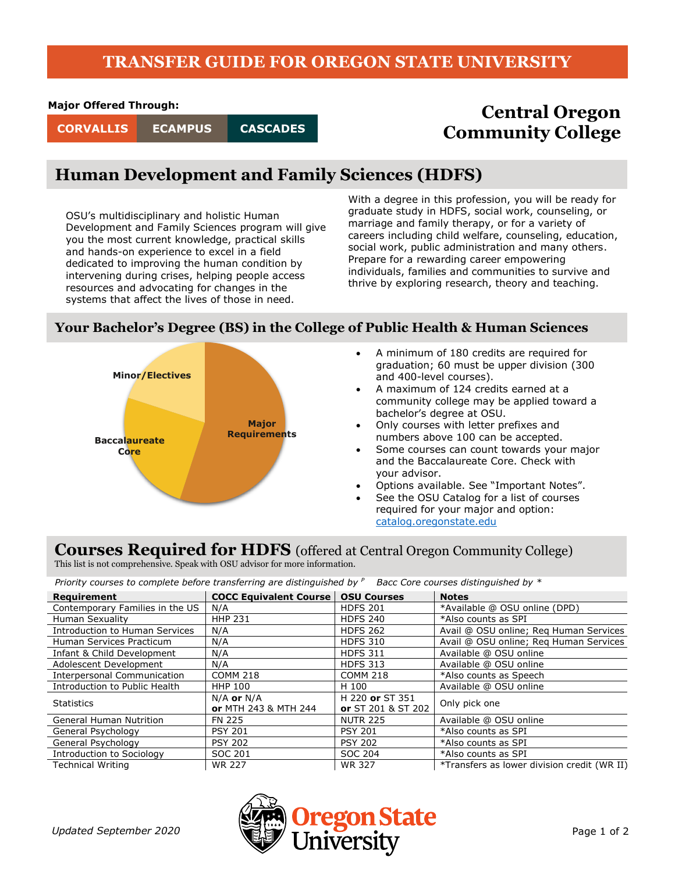### **TRANSFER GUIDE FOR OREGON STATE UNIVERSITY**

#### **Major Offered Through:**

**CASCADES**

# **Central Oregon CORVALLIS ECAMPUS CASCADES COMMUNITY** College

### **Human Development and Family Sciences (HDFS)**

OSU's multidisciplinary and holistic Human Development and Family Sciences program will give you the most current knowledge, practical skills and hands-on experience to excel in a field dedicated to improving the human condition by intervening during crises, helping people access resources and advocating for changes in the systems that affect the lives of those in need.

With a degree in this profession, you will be ready for graduate study in HDFS, social work, counseling, or marriage and family therapy, or for a variety of careers including child welfare, counseling, education, social work, public administration and many others. Prepare for a rewarding career empowering individuals, families and communities to survive and thrive by exploring research, theory and teaching.

#### **Your Bachelor's Degree (BS) in the College of Public Health & Human Sciences**



- A minimum of 180 credits are required for graduation; 60 must be upper division (300 and 400-level courses).
- A maximum of 124 credits earned at a community college may be applied toward a bachelor's degree at OSU.
- Only courses with letter prefixes and numbers above 100 can be accepted.
- Some courses can count towards your major and the Baccalaureate Core. Check with your advisor.
- Options available. See "Important Notes".
- See the OSU Catalog for a list of courses required for your major and option: [catalog.oregonstate.edu](http://catalog.oregonstate.edu/)

## **Courses Required for HDFS** (offered at Central Oregon Community College)

This list is not comprehensive. Speak with OSU advisor for more information.

*Priority courses to complete before transferring are distinguished by <sup>P</sup> Bacc Core courses distinguished by \**

| Requirement                        | <b>COCC Equivalent Course</b>          | <b>OSU Courses</b>                           | <b>Notes</b>                                |
|------------------------------------|----------------------------------------|----------------------------------------------|---------------------------------------------|
| Contemporary Families in the US    | N/A                                    | <b>HDFS 201</b>                              | *Available @ OSU online (DPD)               |
| Human Sexuality                    | <b>HHP 231</b>                         | <b>HDFS 240</b>                              | *Also counts as SPI                         |
| Introduction to Human Services     | N/A                                    | <b>HDFS 262</b>                              | Avail @ OSU online; Reg Human Services      |
| Human Services Practicum           | N/A                                    | <b>HDFS 310</b>                              | Avail @ OSU online; Reg Human Services      |
| Infant & Child Development         | N/A                                    | <b>HDFS 311</b>                              | Available @ OSU online                      |
| Adolescent Development             | N/A                                    | <b>HDFS 313</b>                              | Available @ OSU online                      |
| <b>Interpersonal Communication</b> | <b>COMM 218</b>                        | <b>COMM 218</b>                              | *Also counts as Speech                      |
| Introduction to Public Health      | <b>HHP 100</b>                         | H 100                                        | Available @ OSU online                      |
| <b>Statistics</b>                  | $N/A$ or $N/A$<br>or MTH 243 & MTH 244 | H 220 or ST 351<br><b>or</b> ST 201 & ST 202 | Only pick one                               |
| <b>General Human Nutrition</b>     | FN 225                                 | <b>NUTR 225</b>                              | Available @ OSU online                      |
| General Psychology                 | <b>PSY 201</b>                         | <b>PSY 201</b>                               | *Also counts as SPI                         |
| General Psychology                 | <b>PSY 202</b>                         | <b>PSY 202</b>                               | *Also counts as SPI                         |
| <b>Introduction to Sociology</b>   | SOC 201                                | SOC 204                                      | *Also counts as SPI                         |
| <b>Technical Writing</b>           | <b>WR 227</b>                          | <b>WR 327</b>                                | *Transfers as lower division credit (WR II) |